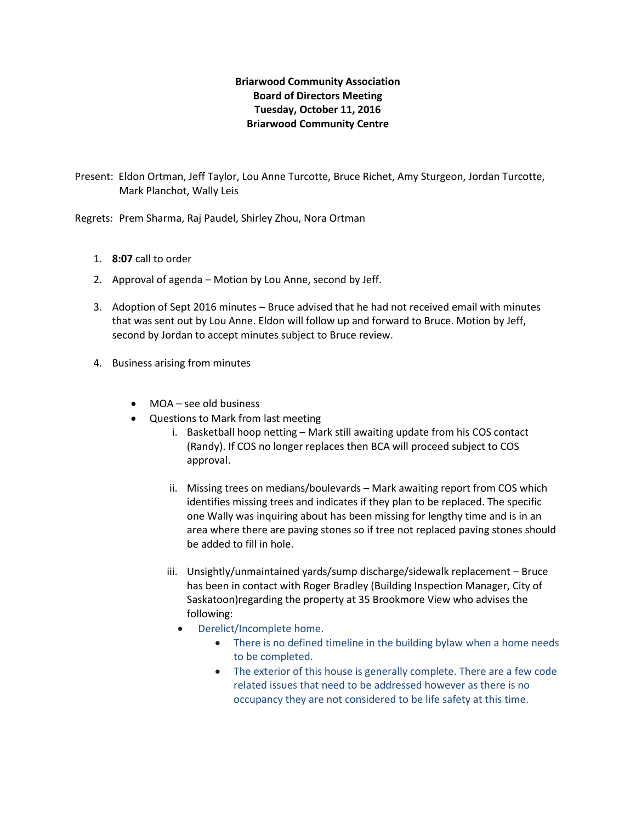## **Briarwood Community Association Board of Directors Meeting Tuesday, October 11, 2016 Briarwood Community Centre**

Present: Eldon Ortman, Jeff Taylor, Lou Anne Turcotte, Bruce Richet, Amy Sturgeon, Jordan Turcotte, Mark Planchot, Wally Leis

Regrets: Prem Sharma, Raj Paudel, Shirley Zhou, Nora Ortman

- 1. **8:07** call to order
- 2. Approval of agenda Motion by Lou Anne, second by Jeff.
- 3. Adoption of Sept 2016 minutes Bruce advised that he had not received email with minutes that was sent out by Lou Anne. Eldon will follow up and forward to Bruce. Motion by Jeff, second by Jordan to accept minutes subject to Bruce review.
- 4. Business arising from minutes
	- MOA see old business
	- Questions to Mark from last meeting
		- i. Basketball hoop netting Mark still awaiting update from his COS contact (Randy). If COS no longer replaces then BCA will proceed subject to COS approval.
		- ii. Missing trees on medians/boulevards Mark awaiting report from COS which identifies missing trees and indicates if they plan to be replaced. The specific one Wally was inquiring about has been missing for lengthy time and is in an area where there are paving stones so if tree not replaced paving stones should be added to fill in hole.
		- iii. Unsightly/unmaintained yards/sump discharge/sidewalk replacement Bruce has been in contact with Roger Bradley (Building Inspection Manager, City of Saskatoon)regarding the property at 35 Brookmore View who advises the following:
			- Derelict/Incomplete home.
				- There is no defined timeline in the building bylaw when a home needs to be completed.
				- The exterior of this house is generally complete. There are a few code related issues that need to be addressed however as there is no occupancy they are not considered to be life safety at this time.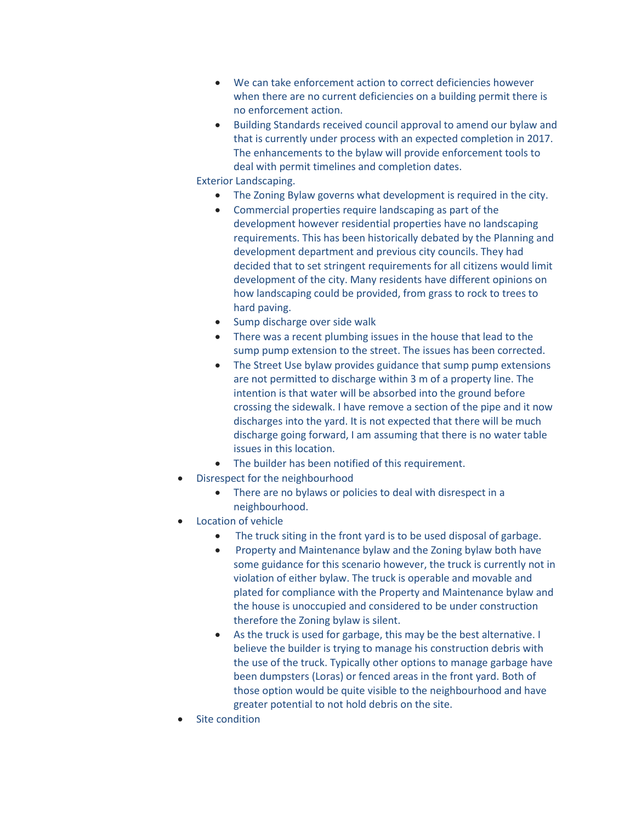- We can take enforcement action to correct deficiencies however when there are no current deficiencies on a building permit there is no enforcement action.
- Building Standards received council approval to amend our bylaw and that is currently under process with an expected completion in 2017. The enhancements to the bylaw will provide enforcement tools to deal with permit timelines and completion dates.

Exterior Landscaping.

- The Zoning Bylaw governs what development is required in the city.
- Commercial properties require landscaping as part of the development however residential properties have no landscaping requirements. This has been historically debated by the Planning and development department and previous city councils. They had decided that to set stringent requirements for all citizens would limit development of the city. Many residents have different opinions on how landscaping could be provided, from grass to rock to trees to hard paving.
- Sump discharge over side walk
- There was a recent plumbing issues in the house that lead to the sump pump extension to the street. The issues has been corrected.
- The Street Use bylaw provides guidance that sump pump extensions are not permitted to discharge within 3 m of a property line. The intention is that water will be absorbed into the ground before crossing the sidewalk. I have remove a section of the pipe and it now discharges into the yard. It is not expected that there will be much discharge going forward, I am assuming that there is no water table issues in this location.
- The builder has been notified of this requirement.
- Disrespect for the neighbourhood
	- There are no bylaws or policies to deal with disrespect in a neighbourhood.
- Location of vehicle
	- The truck siting in the front yard is to be used disposal of garbage.
	- Property and Maintenance bylaw and the Zoning bylaw both have some guidance for this scenario however, the truck is currently not in violation of either bylaw. The truck is operable and movable and plated for compliance with the Property and Maintenance bylaw and the house is unoccupied and considered to be under construction therefore the Zoning bylaw is silent.
	- As the truck is used for garbage, this may be the best alternative. I believe the builder is trying to manage his construction debris with the use of the truck. Typically other options to manage garbage have been dumpsters (Loras) or fenced areas in the front yard. Both of those option would be quite visible to the neighbourhood and have greater potential to not hold debris on the site.
- Site condition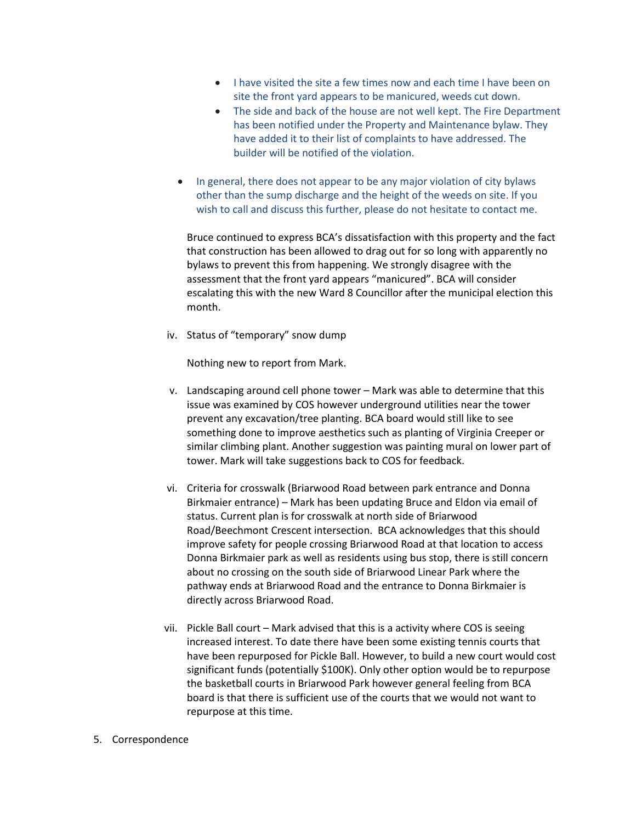- I have visited the site a few times now and each time I have been on site the front yard appears to be manicured, weeds cut down.
- The side and back of the house are not well kept. The Fire Department has been notified under the Property and Maintenance bylaw. They have added it to their list of complaints to have addressed. The builder will be notified of the violation.
- In general, there does not appear to be any major violation of city bylaws other than the sump discharge and the height of the weeds on site. If you wish to call and discuss this further, please do not hesitate to contact me.

Bruce continued to express BCA's dissatisfaction with this property and the fact that construction has been allowed to drag out for so long with apparently no bylaws to prevent this from happening. We strongly disagree with the assessment that the front yard appears "manicured". BCA will consider escalating this with the new Ward 8 Councillor after the municipal election this month.

iv. Status of "temporary" snow dump

Nothing new to report from Mark.

- v. Landscaping around cell phone tower Mark was able to determine that this issue was examined by COS however underground utilities near the tower prevent any excavation/tree planting. BCA board would still like to see something done to improve aesthetics such as planting of Virginia Creeper or similar climbing plant. Another suggestion was painting mural on lower part of tower. Mark will take suggestions back to COS for feedback.
- vi. Criteria for crosswalk (Briarwood Road between park entrance and Donna Birkmaier entrance) – Mark has been updating Bruce and Eldon via email of status. Current plan is for crosswalk at north side of Briarwood Road/Beechmont Crescent intersection. BCA acknowledges that this should improve safety for people crossing Briarwood Road at that location to access Donna Birkmaier park as well as residents using bus stop, there is still concern about no crossing on the south side of Briarwood Linear Park where the pathway ends at Briarwood Road and the entrance to Donna Birkmaier is directly across Briarwood Road.
- vii. Pickle Ball court Mark advised that this is a activity where COS is seeing increased interest. To date there have been some existing tennis courts that have been repurposed for Pickle Ball. However, to build a new court would cost significant funds (potentially \$100K). Only other option would be to repurpose the basketball courts in Briarwood Park however general feeling from BCA board is that there is sufficient use of the courts that we would not want to repurpose at this time.

## 5. Correspondence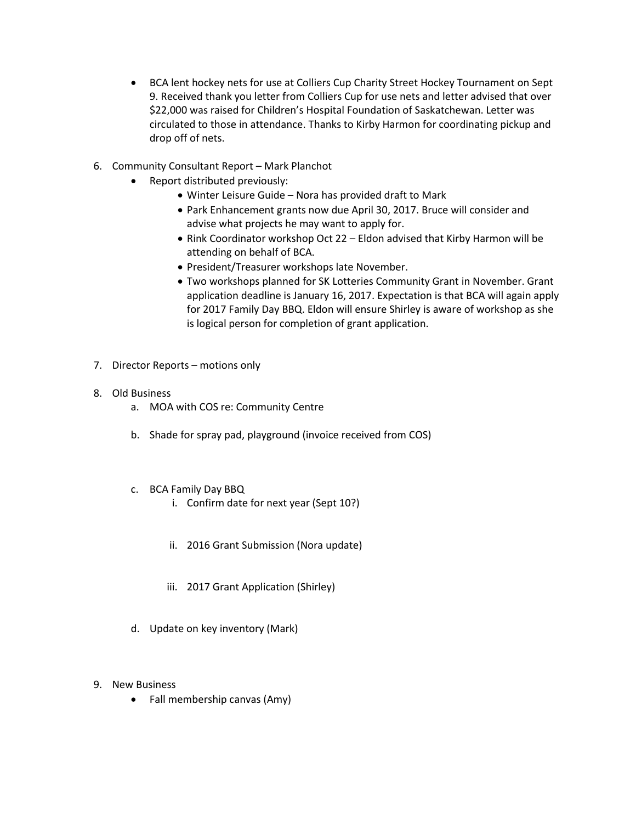- BCA lent hockey nets for use at Colliers Cup Charity Street Hockey Tournament on Sept 9. Received thank you letter from Colliers Cup for use nets and letter advised that over \$22,000 was raised for Children's Hospital Foundation of Saskatchewan. Letter was circulated to those in attendance. Thanks to Kirby Harmon for coordinating pickup and drop off of nets.
- 6. Community Consultant Report Mark Planchot
	- Report distributed previously:
		- Winter Leisure Guide Nora has provided draft to Mark
		- Park Enhancement grants now due April 30, 2017. Bruce will consider and advise what projects he may want to apply for.
		- Rink Coordinator workshop Oct 22 Eldon advised that Kirby Harmon will be attending on behalf of BCA.
		- President/Treasurer workshops late November.
		- Two workshops planned for SK Lotteries Community Grant in November. Grant application deadline is January 16, 2017. Expectation is that BCA will again apply for 2017 Family Day BBQ. Eldon will ensure Shirley is aware of workshop as she is logical person for completion of grant application.
- 7. Director Reports motions only
- 8. Old Business
	- a. MOA with COS re: Community Centre
	- b. Shade for spray pad, playground (invoice received from COS)
	- c. BCA Family Day BBQ
		- i. Confirm date for next year (Sept 10?)
		- ii. 2016 Grant Submission (Nora update)
		- iii. 2017 Grant Application (Shirley)
	- d. Update on key inventory (Mark)
- 9. New Business
	- Fall membership canvas (Amy)